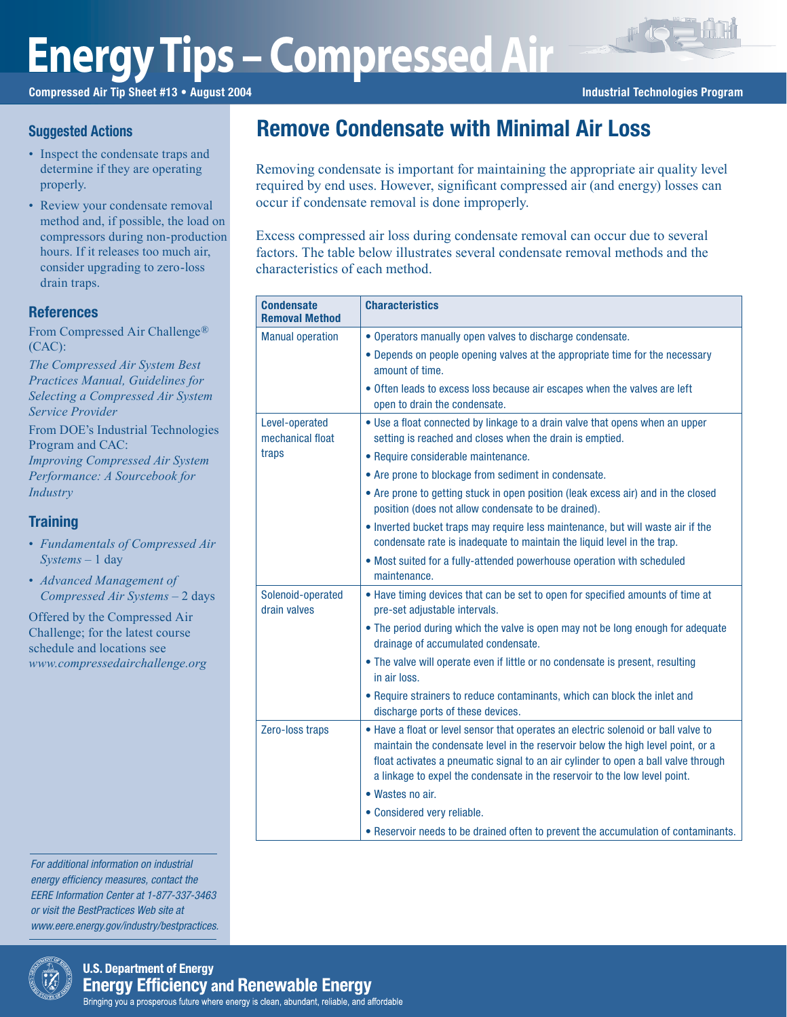# **Energy Tips – Compressed Air**

Compressed Air Tip Sheet #13 • August 2004 **Industrial Technologies Program** Industrial Technologies Program

## **Suggested Actions**

- Inspect the condensate traps and determine if they are operating properly.
- Review your condensate removal method and, if possible, the load on compressors during non-production hours. If it releases too much air, consider upgrading to zero-loss drain traps.

# **References**

From Compressed Air Challenge® (CAC):

*The Compressed Air System Best Practices Manual, Guidelines for Selecting a Compressed Air System Service Provider*

From DOE's Industrial Technologies Program and CAC: *Improving Compressed Air System Performance: A Sourcebook for Industry*

# **Training**

- *Fundamentals of Compressed Air Systems* – 1 day
- *Advanced Management of Compressed Air Systems* – 2 days

Offered by the Compressed Air Challenge; for the latest course schedule and locations see *www.compressedairchallenge.org*

For additional information on industrial energy efficiency measures, contact the EERE Information Center at 1-877-337-3463 or visit the BestPractices Web site at www.eere.energy.gov/industry/bestpractices.



Excess compressed air loss during condensate removal can occur due to several factors. The table below illustrates several condensate removal methods and the characteristics of each method.

Removing condensate is important for maintaining the appropriate air quality level required by end uses. However, significant compressed air (and energy) losses can

Remove Condensate with Minimal Air Loss

| <b>Condensate</b><br><b>Removal Method</b> | <b>Characteristics</b>                                                                                                                                                                                                                                                                                                                    |
|--------------------------------------------|-------------------------------------------------------------------------------------------------------------------------------------------------------------------------------------------------------------------------------------------------------------------------------------------------------------------------------------------|
| <b>Manual operation</b>                    | • Operators manually open valves to discharge condensate.                                                                                                                                                                                                                                                                                 |
|                                            | • Depends on people opening valves at the appropriate time for the necessary<br>amount of time.                                                                                                                                                                                                                                           |
|                                            | • Often leads to excess loss because air escapes when the valves are left<br>open to drain the condensate.                                                                                                                                                                                                                                |
| Level-operated<br>mechanical float         | • Use a float connected by linkage to a drain valve that opens when an upper<br>setting is reached and closes when the drain is emptied.                                                                                                                                                                                                  |
| traps                                      | • Require considerable maintenance.                                                                                                                                                                                                                                                                                                       |
|                                            | • Are prone to blockage from sediment in condensate.                                                                                                                                                                                                                                                                                      |
|                                            | • Are prone to getting stuck in open position (leak excess air) and in the closed<br>position (does not allow condensate to be drained).                                                                                                                                                                                                  |
|                                            | • Inverted bucket traps may require less maintenance, but will waste air if the<br>condensate rate is inadequate to maintain the liquid level in the trap.                                                                                                                                                                                |
|                                            | • Most suited for a fully-attended powerhouse operation with scheduled<br>maintenance.                                                                                                                                                                                                                                                    |
| Solenoid-operated<br>drain valves          | . Have timing devices that can be set to open for specified amounts of time at<br>pre-set adjustable intervals.                                                                                                                                                                                                                           |
|                                            | • The period during which the valve is open may not be long enough for adequate<br>drainage of accumulated condensate.                                                                                                                                                                                                                    |
|                                            | • The valve will operate even if little or no condensate is present, resulting<br>in air loss.                                                                                                                                                                                                                                            |
|                                            | • Require strainers to reduce contaminants, which can block the inlet and<br>discharge ports of these devices.                                                                                                                                                                                                                            |
| Zero-loss traps                            | • Have a float or level sensor that operates an electric solenoid or ball valve to<br>maintain the condensate level in the reservoir below the high level point, or a<br>float activates a pneumatic signal to an air cylinder to open a ball valve through<br>a linkage to expel the condensate in the reservoir to the low level point. |
|                                            | • Wastes no air.                                                                                                                                                                                                                                                                                                                          |
|                                            | • Considered very reliable.                                                                                                                                                                                                                                                                                                               |
|                                            | • Reservoir needs to be drained often to prevent the accumulation of contaminants.                                                                                                                                                                                                                                                        |